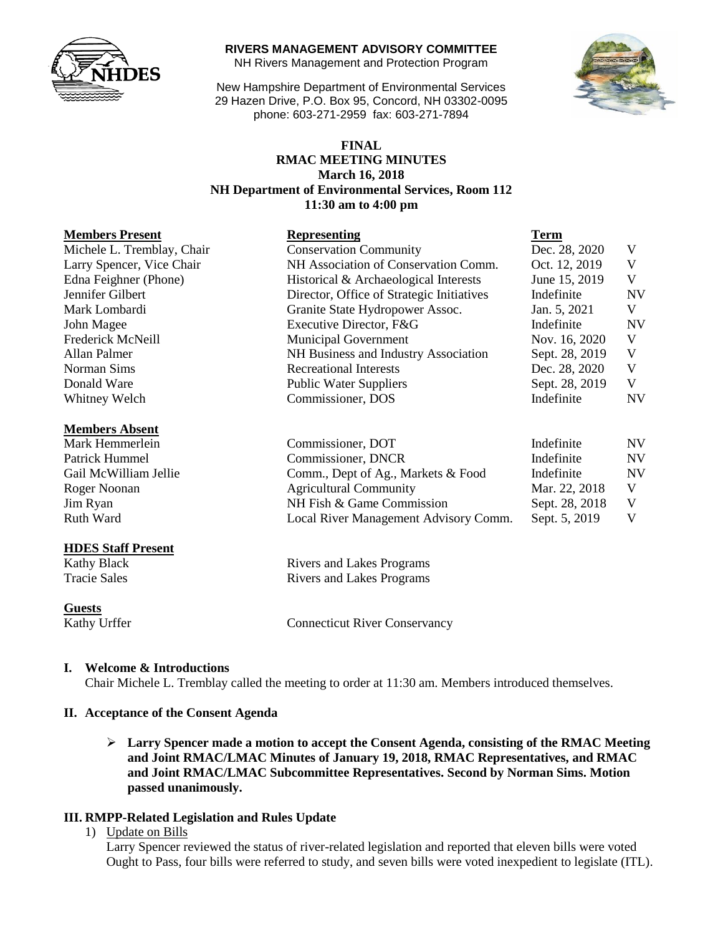

#### **RIVERS MANAGEMENT ADVISORY COMMITTEE**

NH Rivers Management and Protection Program

New Hampshire Department of Environmental Services 29 Hazen Drive, P.O. Box 95, Concord, NH 03302-0095 phone: 603-271-2959 fax: 603-271-7894



# **RMAC MEETING MINUTES March 16, 2018 11:30 am to 4:00 pm**

#### **Members Present Representing Term**

| Michele L. Tremblay, Chair |
|----------------------------|
| Larry Spencer, Vice Chair  |
| Edna Feighner (Phone)      |
| Jennifer Gilbert           |
| Mark Lombardi              |
| John Magee                 |
| Frederick McNeill          |
| Allan Palmer               |
| Norman Sims                |
| Donald Ware                |
| <b>Whitney Welch</b>       |

#### **Members Absent**

### **HDES Staff Present**

**Guests**

### **I. Welcome & Introductions**

Chair Michele L. Tremblay called the meeting to order at 11:30 am. Members introduced themselves.

#### **II. Acceptance of the Consent Agenda**

 **Larry Spencer made a motion to accept the Consent Agenda, consisting of the RMAC Meeting and Joint RMAC/LMAC Minutes of January 19, 2018, RMAC Representatives, and RMAC and Joint RMAC/LMAC Subcommittee Representatives. Second by Norman Sims. Motion passed unanimously.** 

## **III. RMPP-Related Legislation and Rules Update**

1) Update on Bills

Larry Spencer reviewed the status of river-related legislation and reported that eleven bills were voted Ought to Pass, four bills were referred to study, and seven bills were voted inexpedient to legislate (ITL).

| <b>FINAL</b>                                             |
|----------------------------------------------------------|
| <b>RMAC MEETING MINUTES</b>                              |
| <b>March 16, 2018</b>                                    |
| <b>NH Department of Environmental Services, Room 112</b> |
| 11:30 am to 4:00 pm                                      |
|                                                          |

| NIGHIDGI 9 I LGGGHL                                            | <b>IWPI COURTING</b>                      | Term           |           |
|----------------------------------------------------------------|-------------------------------------------|----------------|-----------|
| Michele L. Tremblay, Chair                                     | <b>Conservation Community</b>             | Dec. 28, 2020  | V         |
| Larry Spencer, Vice Chair                                      | NH Association of Conservation Comm.      | Oct. 12, 2019  | V         |
| Edna Feighner (Phone)<br>Historical & Archaeological Interests |                                           | June 15, 2019  | V         |
| Jennifer Gilbert                                               | Director, Office of Strategic Initiatives | Indefinite     | <b>NV</b> |
| Granite State Hydropower Assoc.<br>Mark Lombardi               |                                           | Jan. 5, 2021   | V         |
| John Magee                                                     | Executive Director, F&G                   | Indefinite     | <b>NV</b> |
| Frederick McNeill                                              | <b>Municipal Government</b>               | Nov. 16, 2020  | V         |
| Allan Palmer                                                   | NH Business and Industry Association      | Sept. 28, 2019 | V         |
| Norman Sims                                                    | <b>Recreational Interests</b>             | Dec. 28, 2020  | V         |
| Donald Ware                                                    | <b>Public Water Suppliers</b>             | Sept. 28, 2019 | V         |
| Whitney Welch                                                  | Commissioner, DOS                         | Indefinite     | <b>NV</b> |
|                                                                |                                           |                |           |

| Mark Hemmerlein<br>Commissioner, DOT<br>Commissioner, DNCR<br>Patrick Hummel |                                       | Indefinite     | <b>NV</b> |
|------------------------------------------------------------------------------|---------------------------------------|----------------|-----------|
|                                                                              |                                       | Indefinite     |           |
| Gail McWilliam Jellie                                                        | Comm., Dept of Ag., Markets & Food    | Indefinite     | <b>NV</b> |
| Roger Noonan                                                                 | <b>Agricultural Community</b>         | Mar. 22, 2018  |           |
| Jim Ryan                                                                     | NH Fish & Game Commission             | Sept. 28, 2018 |           |
| Ruth Ward                                                                    | Local River Management Advisory Comm. | Sept. 5, 2019  |           |

Kathy Black Rivers and Lakes Programs Tracie Sales Rivers and Lakes Programs

Kathy Urffer Connecticut River Conservancy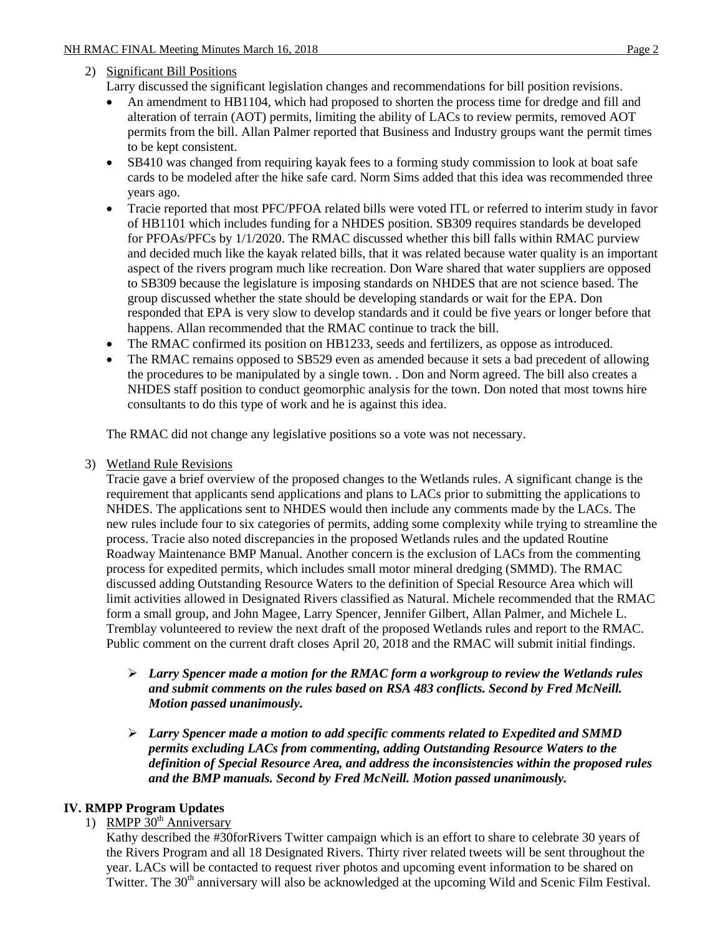# 2) Significant Bill Positions

Larry discussed the significant legislation changes and recommendations for bill position revisions.

- An amendment to HB1104, which had proposed to shorten the process time for dredge and fill and alteration of terrain (AOT) permits, limiting the ability of LACs to review permits, removed AOT permits from the bill. Allan Palmer reported that Business and Industry groups want the permit times to be kept consistent.
- SB410 was changed from requiring kayak fees to a forming study commission to look at boat safe cards to be modeled after the hike safe card. Norm Sims added that this idea was recommended three years ago.
- Tracie reported that most PFC/PFOA related bills were voted ITL or referred to interim study in favor of HB1101 which includes funding for a NHDES position. SB309 requires standards be developed for PFOAs/PFCs by 1/1/2020. The RMAC discussed whether this bill falls within RMAC purview and decided much like the kayak related bills, that it was related because water quality is an important aspect of the rivers program much like recreation. Don Ware shared that water suppliers are opposed to SB309 because the legislature is imposing standards on NHDES that are not science based. The group discussed whether the state should be developing standards or wait for the EPA. Don responded that EPA is very slow to develop standards and it could be five years or longer before that happens. Allan recommended that the RMAC continue to track the bill.
- The RMAC confirmed its position on HB1233, seeds and fertilizers, as oppose as introduced.
- The RMAC remains opposed to SB529 even as amended because it sets a bad precedent of allowing the procedures to be manipulated by a single town. . Don and Norm agreed. The bill also creates a NHDES staff position to conduct geomorphic analysis for the town. Don noted that most towns hire consultants to do this type of work and he is against this idea.

The RMAC did not change any legislative positions so a vote was not necessary.

3) Wetland Rule Revisions

Tracie gave a brief overview of the proposed changes to the Wetlands rules. A significant change is the requirement that applicants send applications and plans to LACs prior to submitting the applications to NHDES. The applications sent to NHDES would then include any comments made by the LACs. The new rules include four to six categories of permits, adding some complexity while trying to streamline the process. Tracie also noted discrepancies in the proposed Wetlands rules and the updated Routine Roadway Maintenance BMP Manual. Another concern is the exclusion of LACs from the commenting process for expedited permits, which includes small motor mineral dredging (SMMD). The RMAC discussed adding Outstanding Resource Waters to the definition of Special Resource Area which will limit activities allowed in Designated Rivers classified as Natural. Michele recommended that the RMAC form a small group, and John Magee, Larry Spencer, Jennifer Gilbert, Allan Palmer, and Michele L. Tremblay volunteered to review the next draft of the proposed Wetlands rules and report to the RMAC. Public comment on the current draft closes April 20, 2018 and the RMAC will submit initial findings.

- *Larry Spencer made a motion for the RMAC form a workgroup to review the Wetlands rules and submit comments on the rules based on RSA 483 conflicts. Second by Fred McNeill. Motion passed unanimously.*
- *Larry Spencer made a motion to add specific comments related to Expedited and SMMD permits excluding LACs from commenting, adding Outstanding Resource Waters to the definition of Special Resource Area, and address the inconsistencies within the proposed rules and the BMP manuals. Second by Fred McNeill. Motion passed unanimously.*

# **IV. RMPP Program Updates**

1) RMPP  $30<sup>th</sup>$  Anniversary

Kathy described the #30forRivers Twitter campaign which is an effort to share to celebrate 30 years of the Rivers Program and all 18 Designated Rivers. Thirty river related tweets will be sent throughout the year. LACs will be contacted to request river photos and upcoming event information to be shared on Twitter. The 30<sup>th</sup> anniversary will also be acknowledged at the upcoming Wild and Scenic Film Festival.